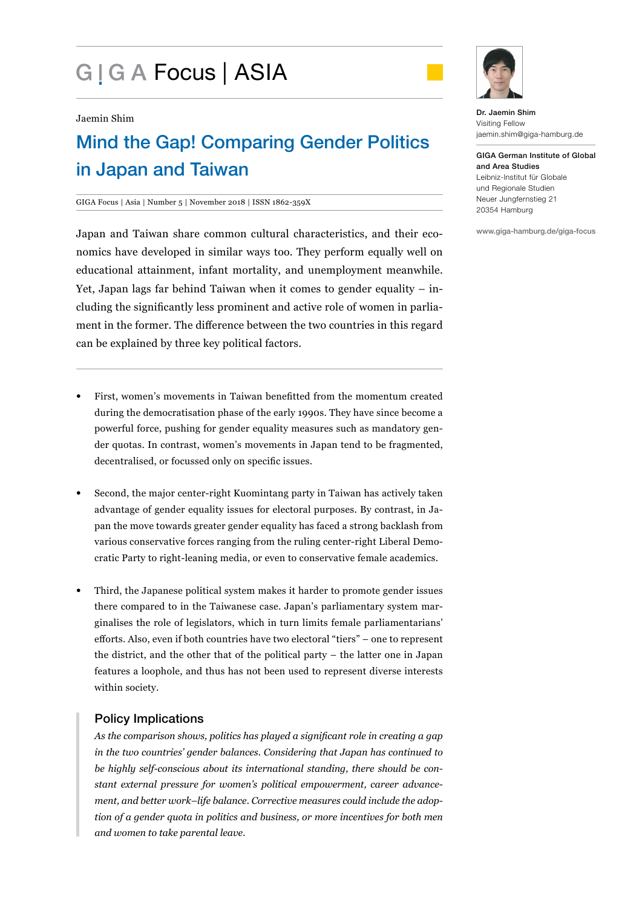# G | G A Focus | ASIA



#### Jaemin Shim

# Mind the Gap! Comparing Gender Politics in Japan and Taiwan

#### GIGA Focus | Asia | Number 5 | November 2018 | ISSN 1862-359X

Japan and Taiwan share common cultural characteristics, and their economics have developed in similar ways too. They perform equally well on educational attainment, infant mortality, and unemployment meanwhile. Yet, Japan lags far behind Taiwan when it comes to gender equality – including the significantly less prominent and active role of women in parliament in the former. The difference between the two countries in this regard can be explained by three key political factors.

- First, women's movements in Taiwan benefitted from the momentum created during the democratisation phase of the early 1990s. They have since become a powerful force, pushing for gender equality measures such as mandatory gender quotas. In contrast, women's movements in Japan tend to be fragmented, decentralised, or focussed only on specific issues.
- Second, the major center-right Kuomintang party in Taiwan has actively taken advantage of gender equality issues for electoral purposes. By contrast, in Japan the move towards greater gender equality has faced a strong backlash from various conservative forces ranging from the ruling center-right Liberal Democratic Party to right-leaning media, or even to conservative female academics.
- Third, the Japanese political system makes it harder to promote gender issues there compared to in the Taiwanese case. Japan's parliamentary system marginalises the role of legislators, which in turn limits female parliamentarians' efforts. Also, even if both countries have two electoral "tiers" – one to represent the district, and the other that of the political party – the latter one in Japan features a loophole, and thus has not been used to represent diverse interests within society.

#### Policy Implications

*As the comparison shows, politics has played a significant role in creating a gap in the two countries' gender balances. Considering that Japan has continued to be highly self-conscious about its international standing, there should be constant external pressure for women's political empowerment, career advancement, and better work–life balance. Corrective measures could include the adoption of a gender quota in politics and business, or more incentives for both men and women to take parental leave.*

Dr. Jaemin Shim Visiting Fellow jaemin.shim@giga-hamburg.de

GIGA German Institute of Global and Area Studies Leibniz-Institut für Globale und Regionale Studien Neuer Jungfernstieg 21 20354 Hamburg

www.giga-hamburg.de/giga-focus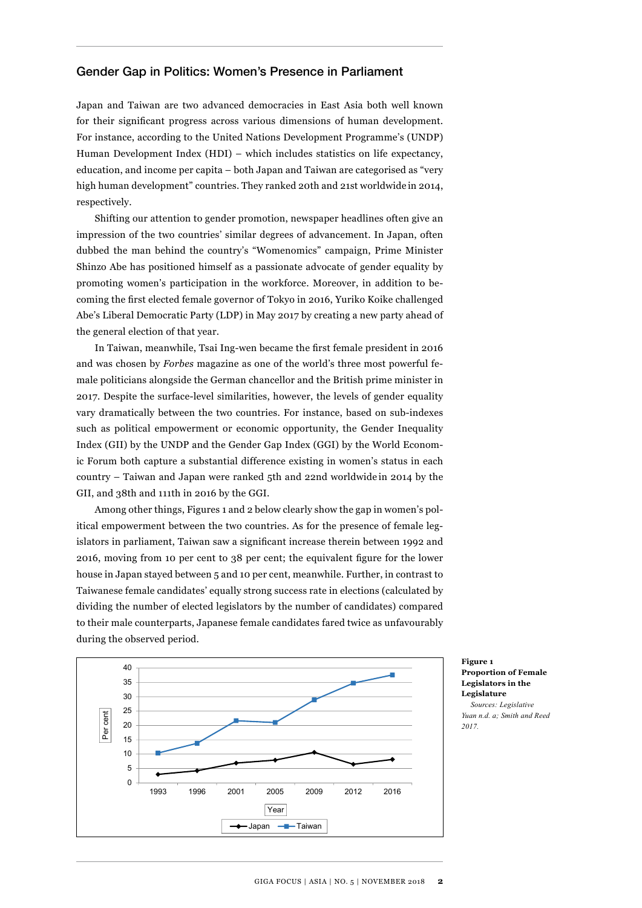#### Gender Gap in Politics: Women's Presence in Parliament

Japan and Taiwan are two advanced democracies in East Asia both well known for their significant progress across various dimensions of human development. For instance, according to the United Nations Development Programme's (UNDP) Human Development Index (HDI) – which includes statistics on life expectancy, education, and income per capita – both Japan and Taiwan are categorised as "very high human development" countries. They ranked 20th and 21st worldwide in 2014, respectively.

Shifting our attention to gender promotion, newspaper headlines often give an impression of the two countries' similar degrees of advancement. In Japan, often dubbed the man behind the country's "Womenomics" campaign, Prime Minister Shinzo Abe has positioned himself as a passionate advocate of gender equality by promoting women's participation in the workforce. Moreover, in addition to becoming the first elected female governor of Tokyo in 2016, Yuriko Koike challenged Abe's Liberal Democratic Party (LDP) in May 2017 by creating a new party ahead of the general election of that year.

In Taiwan, meanwhile, Tsai Ing-wen became the first female president in 2016 and was chosen by *Forbes* magazine as one of the world's three most powerful female politicians alongside the German chancellor and the British prime minister in 2017. Despite the surface-level similarities, however, the levels of gender equality vary dramatically between the two countries. For instance, based on sub-indexes such as political empowerment or economic opportunity, the Gender Inequality Index (GII) by the UNDP and the Gender Gap Index (GGI) by the World Economic Forum both capture a substantial difference existing in women's status in each country – Taiwan and Japan were ranked 5th and 22nd worldwide in 2014 by the GII, and 38th and 111th in 2016 by the GGI.

Among other things, Figures 1 and 2 below clearly show the gap in women's political empowerment between the two countries. As for the presence of female legislators in parliament, Taiwan saw a significant increase therein between 1992 and 2016, moving from 10 per cent to 38 per cent; the equivalent figure for the lower house in Japan stayed between 5 and 10 per cent, meanwhile. Further, in contrast to Taiwanese female candidates' equally strong success rate in elections (calculated by dividing the number of elected legislators by the number of candidates) compared to their male counterparts, Japanese female candidates fared twice as unfavourably during the observed period.



**Figure 1 Proportion of Female Legislators in the Legislature**

*Sources: Legislative Yuan n.d. a; Smith and Reed 2017.*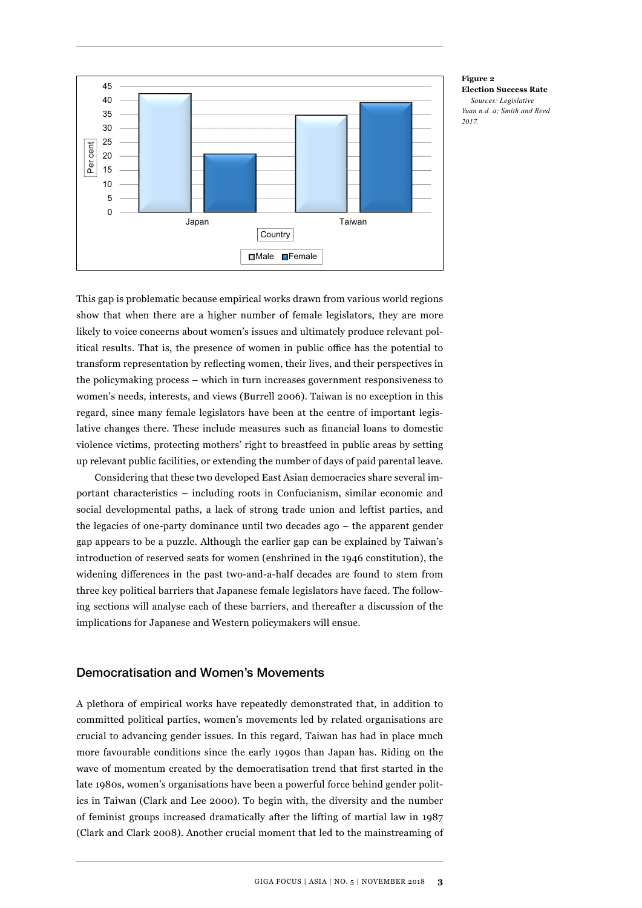

**Figure 2 Election Success Rate** *Sources: Legislative Yuan n.d. a; Smith and Reed 2017.*

This gap is problematic because empirical works drawn from various world regions show that when there are a higher number of female legislators, they are more likely to voice concerns about women's issues and ultimately produce relevant political results. That is, the presence of women in public office has the potential to transform representation by reflecting women, their lives, and their perspectives in the policymaking process – which in turn increases government responsiveness to women's needs, interests, and views (Burrell 2006). Taiwan is no exception in this regard, since many female legislators have been at the centre of important legislative changes there. These include measures such as financial loans to domestic violence victims, protecting mothers' right to breastfeed in public areas by setting up relevant public facilities, or extending the number of days of paid parental leave.

Considering that these two developed East Asian democracies share several important characteristics – including roots in Confucianism, similar economic and social developmental paths, a lack of strong trade union and leftist parties, and the legacies of one-party dominance until two decades ago – the apparent gender gap appears to be a puzzle. Although the earlier gap can be explained by Taiwan's introduction of reserved seats for women (enshrined in the 1946 constitution), the widening differences in the past two-and-a-half decades are found to stem from three key political barriers that Japanese female legislators have faced. The following sections will analyse each of these barriers, and thereafter a discussion of the implications for Japanese and Western policymakers will ensue.

#### Democratisation and Women's Movements

A plethora of empirical works have repeatedly demonstrated that, in addition to committed political parties, women's movements led by related organisations are crucial to advancing gender issues. In this regard, Taiwan has had in place much more favourable conditions since the early 1990s than Japan has. Riding on the wave of momentum created by the democratisation trend that first started in the late 1980s, women's organisations have been a powerful force behind gender politics in Taiwan (Clark and Lee 2000). To begin with, the diversity and the number of feminist groups increased dramatically after the lifting of martial law in 1987 (Clark and Clark 2008). Another crucial moment that led to the mainstreaming of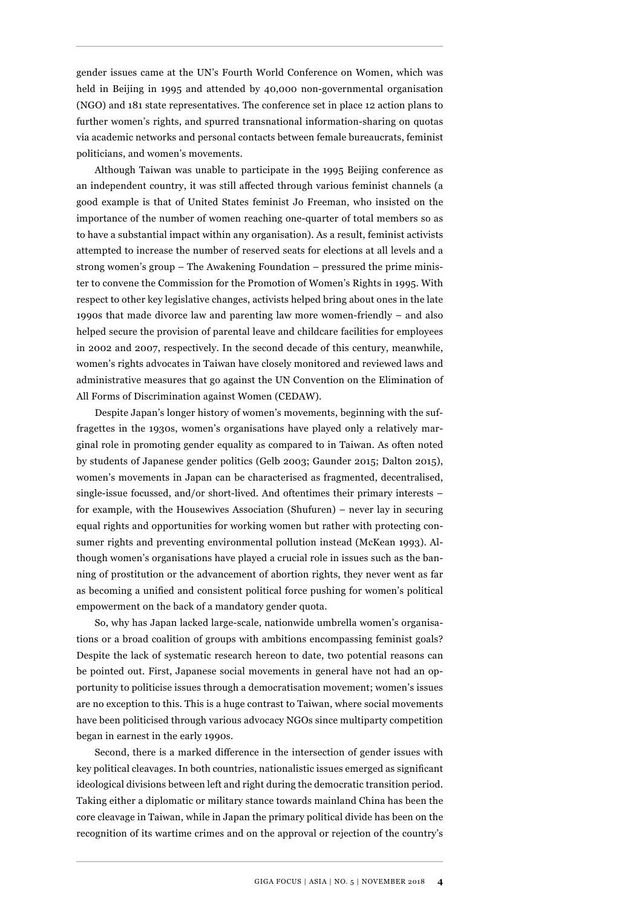gender issues came at the UN's Fourth World Conference on Women, which was held in Beijing in 1995 and attended by 40,000 non-governmental organisation (NGO) and 181 state representatives. The conference set in place 12 action plans to further women's rights, and spurred transnational information-sharing on quotas via academic networks and personal contacts between female bureaucrats, feminist politicians, and women's movements.

Although Taiwan was unable to participate in the 1995 Beijing conference as an independent country, it was still affected through various feminist channels (a good example is that of United States feminist Jo Freeman, who insisted on the importance of the number of women reaching one-quarter of total members so as to have a substantial impact within any organisation). As a result, feminist activists attempted to increase the number of reserved seats for elections at all levels and a strong women's group – The Awakening Foundation – pressured the prime minister to convene the Commission for the Promotion of Women's Rights in 1995. With respect to other key legislative changes, activists helped bring about ones in the late 1990s that made divorce law and parenting law more women-friendly – and also helped secure the provision of parental leave and childcare facilities for employees in 2002 and 2007, respectively. In the second decade of this century, meanwhile, women's rights advocates in Taiwan have closely monitored and reviewed laws and administrative measures that go against the UN Convention on the Elimination of All Forms of Discrimination against Women (CEDAW).

Despite Japan's longer history of women's movements, beginning with the suffragettes in the 1930s, women's organisations have played only a relatively marginal role in promoting gender equality as compared to in Taiwan. As often noted by students of Japanese gender politics (Gelb 2003; Gaunder 2015; Dalton 2015), women's movements in Japan can be characterised as fragmented, decentralised, single-issue focussed, and/or short-lived. And oftentimes their primary interests – for example, with the Housewives Association (Shufuren) – never lay in securing equal rights and opportunities for working women but rather with protecting consumer rights and preventing environmental pollution instead (McKean 1993). Although women's organisations have played a crucial role in issues such as the banning of prostitution or the advancement of abortion rights, they never went as far as becoming a unified and consistent political force pushing for women's political empowerment on the back of a mandatory gender quota.

So, why has Japan lacked large-scale, nationwide umbrella women's organisations or a broad coalition of groups with ambitions encompassing feminist goals? Despite the lack of systematic research hereon to date, two potential reasons can be pointed out. First, Japanese social movements in general have not had an opportunity to politicise issues through a democratisation movement; women's issues are no exception to this. This is a huge contrast to Taiwan, where social movements have been politicised through various advocacy NGOs since multiparty competition began in earnest in the early 1990s.

Second, there is a marked difference in the intersection of gender issues with key political cleavages. In both countries, nationalistic issues emerged as significant ideological divisions between left and right during the democratic transition period. Taking either a diplomatic or military stance towards mainland China has been the core cleavage in Taiwan, while in Japan the primary political divide has been on the recognition of its wartime crimes and on the approval or rejection of the country's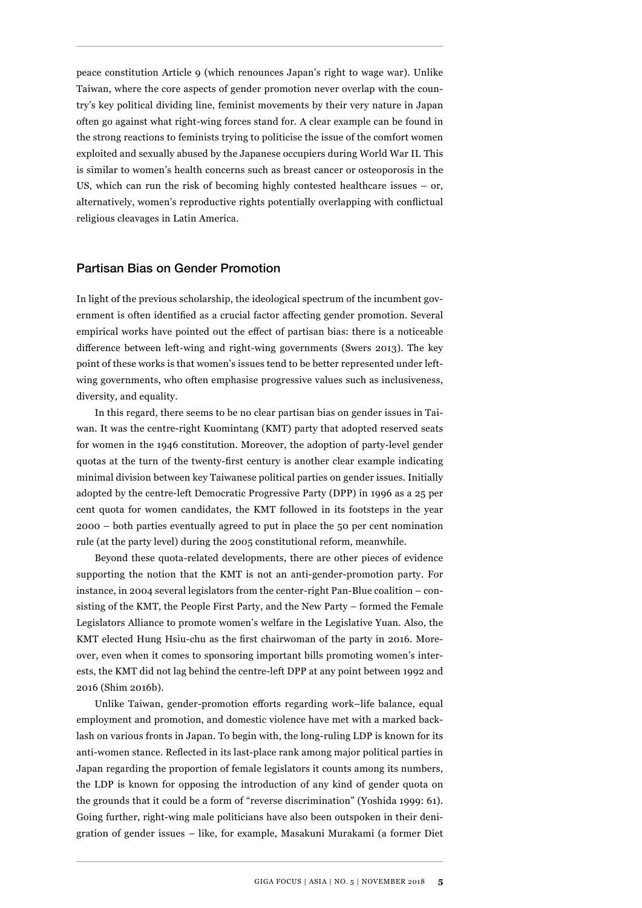peace constitution Article 9 (which renounces Japan's right to wage war). Unlike Taiwan, where the core aspects of gender promotion never overlap with the country's key political dividing line, feminist movements by their very nature in Japan often go against what right-wing forces stand for. A clear example can be found in the strong reactions to feminists trying to politicise the issue of the comfort women exploited and sexually abused by the Japanese occupiers during World War II. This is similar to women's health concerns such as breast cancer or osteoporosis in the US, which can run the risk of becoming highly contested healthcare issues – or, alternatively, women's reproductive rights potentially overlapping with conflictual religious cleavages in Latin America.

#### Partisan Bias on Gender Promotion

In light of the previous scholarship, the ideological spectrum of the incumbent government is often identified as a crucial factor affecting gender promotion. Several empirical works have pointed out the effect of partisan bias: there is a noticeable difference between left-wing and right-wing governments (Swers 2013). The key point of these works is that women's issues tend to be better represented under leftwing governments, who often emphasise progressive values such as inclusiveness, diversity, and equality.

In this regard, there seems to be no clear partisan bias on gender issues in Taiwan. It was the centre-right Kuomintang (KMT) party that adopted reserved seats for women in the 1946 constitution. Moreover, the adoption of party-level gender quotas at the turn of the twenty-first century is another clear example indicating minimal division between key Taiwanese political parties on gender issues. Initially adopted by the centre-left Democratic Progressive Party (DPP) in 1996 as a 25 per cent quota for women candidates, the KMT followed in its footsteps in the year 2000 – both parties eventually agreed to put in place the 50 per cent nomination rule (at the party level) during the 2005 constitutional reform, meanwhile.

Beyond these quota-related developments, there are other pieces of evidence supporting the notion that the KMT is not an anti-gender-promotion party. For instance, in 2004 several legislators from the center-right Pan-Blue coalition – consisting of the KMT, the People First Party, and the New Party – formed the Female Legislators Alliance to promote women's welfare in the Legislative Yuan. Also, the KMT elected Hung Hsiu-chu as the first chairwoman of the party in 2016. Moreover, even when it comes to sponsoring important bills promoting women's interests, the KMT did not lag behind the centre-left DPP at any point between 1992 and 2016 (Shim 2016b).

Unlike Taiwan, gender-promotion efforts regarding work–life balance, equal employment and promotion, and domestic violence have met with a marked backlash on various fronts in Japan. To begin with, the long-ruling LDP is known for its anti-women stance. Reflected in its last-place rank among major political parties in Japan regarding the proportion of female legislators it counts among its numbers, the LDP is known for opposing the introduction of any kind of gender quota on the grounds that it could be a form of "reverse discrimination" (Yoshida 1999: 61). Going further, right-wing male politicians have also been outspoken in their denigration of gender issues – like, for example, Masakuni Murakami (a former Diet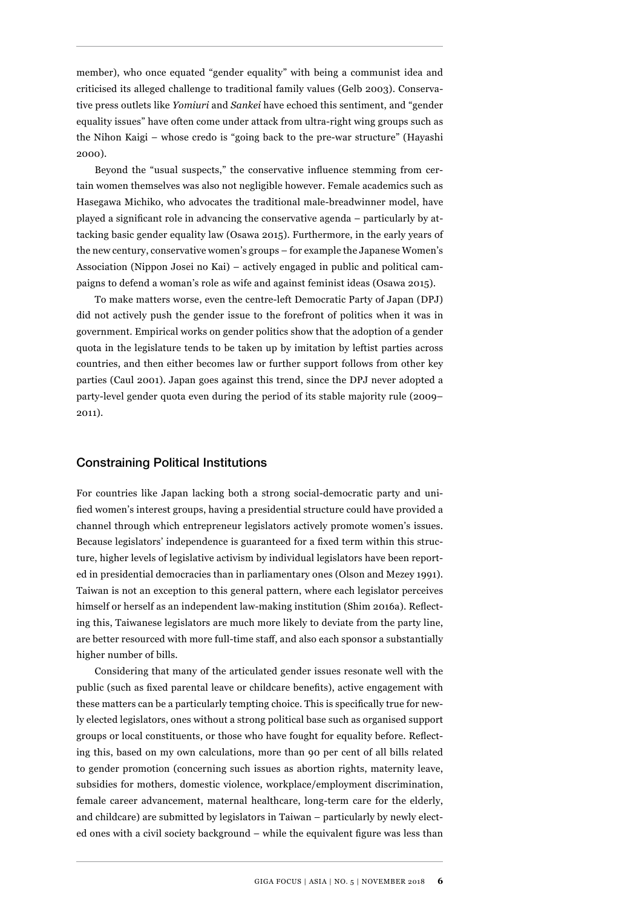member), who once equated "gender equality" with being a communist idea and criticised its alleged challenge to traditional family values (Gelb 2003). Conservative press outlets like *Yomiuri* and *Sankei* have echoed this sentiment, and "gender equality issues" have often come under attack from ultra-right wing groups such as the Nihon Kaigi – whose credo is "going back to the pre-war structure" (Hayashi 2000).

Beyond the "usual suspects," the conservative influence stemming from certain women themselves was also not negligible however. Female academics such as Hasegawa Michiko, who advocates the traditional male-breadwinner model, have played a significant role in advancing the conservative agenda – particularly by attacking basic gender equality law (Osawa 2015). Furthermore, in the early years of the new century, conservative women's groups – for example the Japanese Women's Association (Nippon Josei no Kai) – actively engaged in public and political campaigns to defend a woman's role as wife and against feminist ideas (Osawa 2015).

To make matters worse, even the centre-left Democratic Party of Japan (DPJ) did not actively push the gender issue to the forefront of politics when it was in government. Empirical works on gender politics show that the adoption of a gender quota in the legislature tends to be taken up by imitation by leftist parties across countries, and then either becomes law or further support follows from other key parties (Caul 2001). Japan goes against this trend, since the DPJ never adopted a party-level gender quota even during the period of its stable majority rule (2009– 2011).

#### Constraining Political Institutions

For countries like Japan lacking both a strong social-democratic party and unified women's interest groups, having a presidential structure could have provided a channel through which entrepreneur legislators actively promote women's issues. Because legislators' independence is guaranteed for a fixed term within this structure, higher levels of legislative activism by individual legislators have been reported in presidential democracies than in parliamentary ones (Olson and Mezey 1991). Taiwan is not an exception to this general pattern, where each legislator perceives himself or herself as an independent law-making institution (Shim 2016a). Reflecting this, Taiwanese legislators are much more likely to deviate from the party line, are better resourced with more full-time staff, and also each sponsor a substantially higher number of bills.

Considering that many of the articulated gender issues resonate well with the public (such as fixed parental leave or childcare benefits), active engagement with these matters can be a particularly tempting choice. This is specifically true for newly elected legislators, ones without a strong political base such as organised support groups or local constituents, or those who have fought for equality before. Reflecting this, based on my own calculations, more than 90 per cent of all bills related to gender promotion (concerning such issues as abortion rights, maternity leave, subsidies for mothers, domestic violence, workplace/employment discrimination, female career advancement, maternal healthcare, long-term care for the elderly, and childcare) are submitted by legislators in Taiwan – particularly by newly elected ones with a civil society background – while the equivalent figure was less than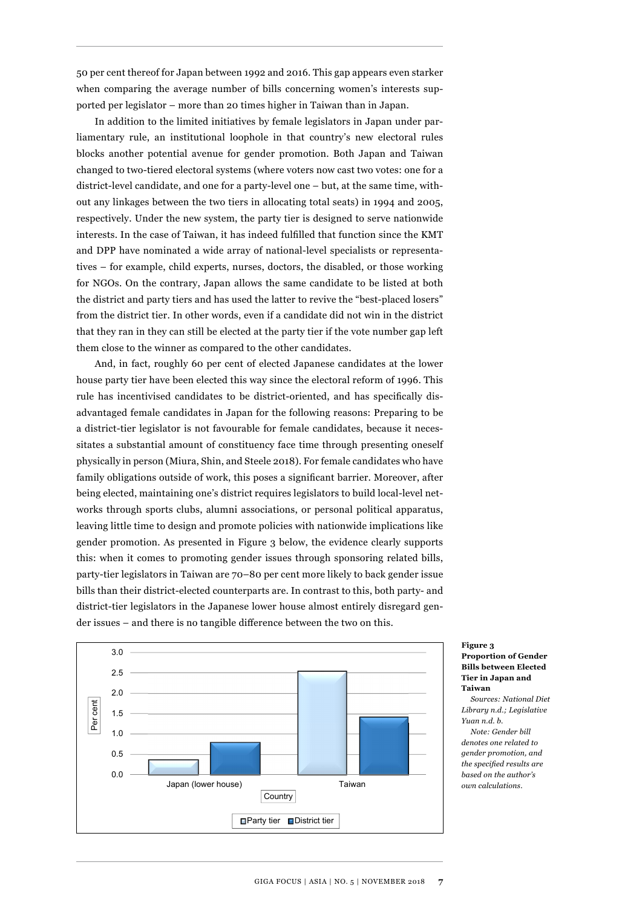50 per cent thereof for Japan between 1992 and 2016. This gap appears even starker when comparing the average number of bills concerning women's interests supported per legislator – more than 20 times higher in Taiwan than in Japan.

In addition to the limited initiatives by female legislators in Japan under parliamentary rule, an institutional loophole in that country's new electoral rules blocks another potential avenue for gender promotion. Both Japan and Taiwan changed to two-tiered electoral systems (where voters now cast two votes: one for a district-level candidate, and one for a party-level one – but, at the same time, without any linkages between the two tiers in allocating total seats) in 1994 and 2005, respectively. Under the new system, the party tier is designed to serve nationwide interests. In the case of Taiwan, it has indeed fulfilled that function since the KMT and DPP have nominated a wide array of national-level specialists or representatives – for example, child experts, nurses, doctors, the disabled, or those working for NGOs. On the contrary, Japan allows the same candidate to be listed at both the district and party tiers and has used the latter to revive the "best-placed losers" from the district tier. In other words, even if a candidate did not win in the district that they ran in they can still be elected at the party tier if the vote number gap left them close to the winner as compared to the other candidates.

And, in fact, roughly 60 per cent of elected Japanese candidates at the lower house party tier have been elected this way since the electoral reform of 1996. This rule has incentivised candidates to be district-oriented, and has specifically disadvantaged female candidates in Japan for the following reasons: Preparing to be a district-tier legislator is not favourable for female candidates, because it necessitates a substantial amount of constituency face time through presenting oneself physically in person (Miura, Shin, and Steele 2018). For female candidates who have family obligations outside of work, this poses a significant barrier. Moreover, after being elected, maintaining one's district requires legislators to build local-level networks through sports clubs, alumni associations, or personal political apparatus, leaving little time to design and promote policies with nationwide implications like gender promotion. As presented in Figure 3 below, the evidence clearly supports this: when it comes to promoting gender issues through sponsoring related bills, party-tier legislators in Taiwan are 70–80 per cent more likely to back gender issue bills than their district-elected counterparts are. In contrast to this, both party- and district-tier legislators in the Japanese lower house almost entirely disregard gender issues – and there is no tangible difference between the two on this.



#### **Figure 3 Proportion of Gender Bills between Elected Tier in Japan and Taiwan**

*Sources: National Diet Library n.d.; Legislative Yuan n.d. b. Note: Gender bill denotes one related to gender promotion, and the specified results are based on the author's own calculations.*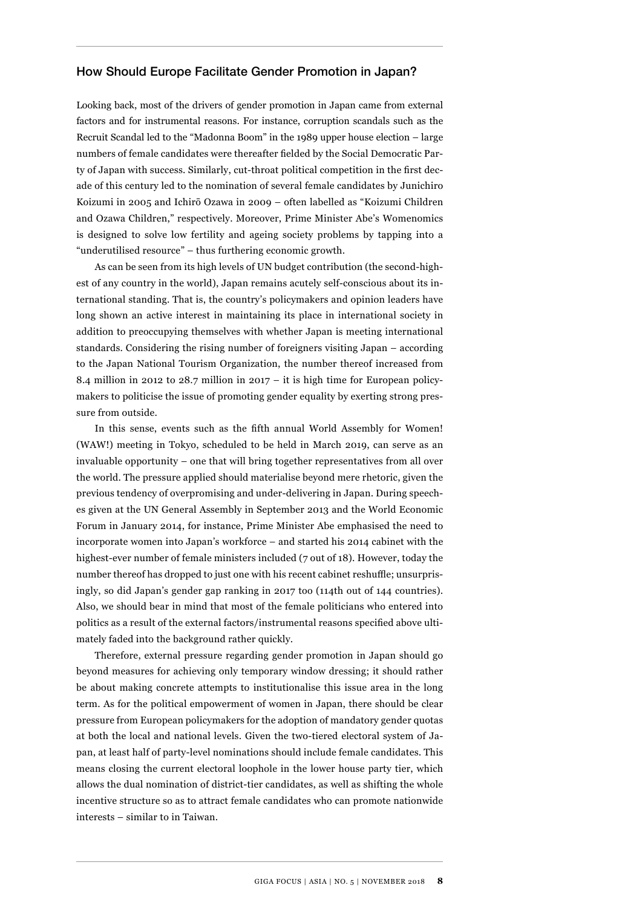#### How Should Europe Facilitate Gender Promotion in Japan?

Looking back, most of the drivers of gender promotion in Japan came from external factors and for instrumental reasons. For instance, corruption scandals such as the Recruit Scandal led to the "Madonna Boom" in the 1989 upper house election – large numbers of female candidates were thereafter fielded by the Social Democratic Party of Japan with success. Similarly, cut-throat political competition in the first decade of this century led to the nomination of several female candidates by Junichiro Koizumi in 2005 and Ichirō Ozawa in 2009 – often labelled as "Koizumi Children and Ozawa Children," respectively. Moreover, Prime Minister Abe's Womenomics is designed to solve low fertility and ageing society problems by tapping into a "underutilised resource" – thus furthering economic growth.

As can be seen from its high levels of UN budget contribution (the second-highest of any country in the world), Japan remains acutely self-conscious about its international standing. That is, the country's policymakers and opinion leaders have long shown an active interest in maintaining its place in international society in addition to preoccupying themselves with whether Japan is meeting international standards. Considering the rising number of foreigners visiting Japan – according to the Japan National Tourism Organization, the number thereof increased from 8.4 million in 2012 to 28.7 million in 2017 – it is high time for European policymakers to politicise the issue of promoting gender equality by exerting strong pressure from outside.

In this sense, events such as the fifth annual World Assembly for Women! (WAW!) meeting in Tokyo, scheduled to be held in March 2019, can serve as an invaluable opportunity – one that will bring together representatives from all over the world. The pressure applied should materialise beyond mere rhetoric, given the previous tendency of overpromising and under-delivering in Japan. During speeches given at the UN General Assembly in September 2013 and the World Economic Forum in January 2014, for instance, Prime Minister Abe emphasised the need to incorporate women into Japan's workforce – and started his 2014 cabinet with the highest-ever number of female ministers included (7 out of 18). However, today the number thereof has dropped to just one with his recent cabinet reshuffle; unsurprisingly, so did Japan's gender gap ranking in 2017 too (114th out of 144 countries). Also, we should bear in mind that most of the female politicians who entered into politics as a result of the external factors/instrumental reasons specified above ultimately faded into the background rather quickly.

Therefore, external pressure regarding gender promotion in Japan should go beyond measures for achieving only temporary window dressing; it should rather be about making concrete attempts to institutionalise this issue area in the long term. As for the political empowerment of women in Japan, there should be clear pressure from European policymakers for the adoption of mandatory gender quotas at both the local and national levels. Given the two-tiered electoral system of Japan, at least half of party-level nominations should include female candidates. This means closing the current electoral loophole in the lower house party tier, which allows the dual nomination of district-tier candidates, as well as shifting the whole incentive structure so as to attract female candidates who can promote nationwide interests – similar to in Taiwan.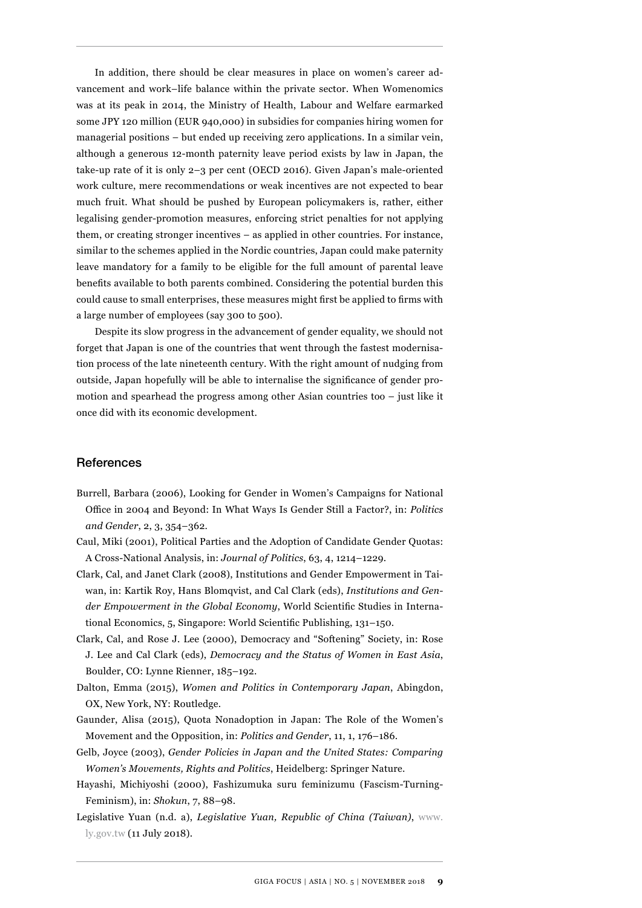In addition, there should be clear measures in place on women's career advancement and work–life balance within the private sector. When Womenomics was at its peak in 2014, the Ministry of Health, Labour and Welfare earmarked some JPY 120 million (EUR 940,000) in subsidies for companies hiring women for managerial positions – but ended up receiving zero applications. In a similar vein, although a generous 12-month paternity leave period exists by law in Japan, the take-up rate of it is only 2–3 per cent (OECD 2016). Given Japan's male-oriented work culture, mere recommendations or weak incentives are not expected to bear much fruit. What should be pushed by European policymakers is, rather, either legalising gender-promotion measures, enforcing strict penalties for not applying them, or creating stronger incentives – as applied in other countries. For instance, similar to the schemes applied in the Nordic countries, Japan could make paternity leave mandatory for a family to be eligible for the full amount of parental leave benefits available to both parents combined. Considering the potential burden this could cause to small enterprises, these measures might first be applied to firms with a large number of employees (say 300 to 500).

Despite its slow progress in the advancement of gender equality, we should not forget that Japan is one of the countries that went through the fastest modernisation process of the late nineteenth century. With the right amount of nudging from outside, Japan hopefully will be able to internalise the significance of gender promotion and spearhead the progress among other Asian countries too  $-$  just like it once did with its economic development.

#### **References**

- Burrell, Barbara (2006), Looking for Gender in Women's Campaigns for National Office in 2004 and Beyond: In What Ways Is Gender Still a Factor?, in: *Politics and Gender*, 2, 3, 354–362.
- Caul, Miki (2001), Political Parties and the Adoption of Candidate Gender Quotas: A Cross-National Analysis, in: *Journal of Politics*, 63, 4, 1214–1229.
- Clark, Cal, and Janet Clark (2008), Institutions and Gender Empowerment in Taiwan, in: Kartik Roy, Hans Blomqvist, and Cal Clark (eds), *Institutions and Gender Empowerment in the Global Economy*, World Scientific Studies in International Economics, 5, Singapore: World Scientific Publishing, 131–150.
- Clark, Cal, and Rose J. Lee (2000), Democracy and "Softening" Society, in: Rose J. Lee and Cal Clark (eds), *Democracy and the Status of Women in East Asia*, Boulder, CO: Lynne Rienner, 185–192.
- Dalton, Emma (2015), *Women and Politics in Contemporary Japan*, Abingdon, OX, New York, NY: Routledge.
- Gaunder, Alisa (2015), Quota Nonadoption in Japan: The Role of the Women's Movement and the Opposition, in: *Politics and Gender*, 11, 1, 176–186.
- Gelb, Joyce (2003), *Gender Policies in Japan and the United States: Comparing Women's Movements, Rights and Politics*, Heidelberg: Springer Nature.
- Hayashi, Michiyoshi (2000), Fashizumuka suru feminizumu (Fascism-Turning-Feminism), in: *Shokun*, 7, 88–98.
- Legislative Yuan (n.d. a), *Legislative Yuan, Republic of China (Taiwan)*, [www.](http://www.ly.gov.tw) [ly.gov.tw](http://www.ly.gov.tw) (11 July 2018).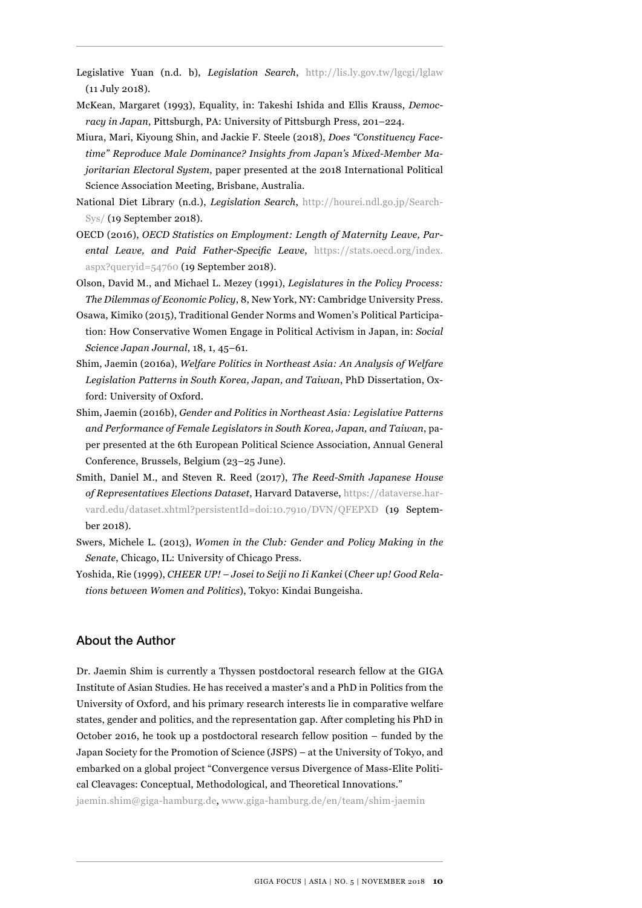- Legislative Yuan (n.d. b), *Legislation Search*, <http://lis.ly.gov.tw/lgcgi/lglaw> (11 July 2018).
- McKean, Margaret (1993), Equality, in: Takeshi Ishida and Ellis Krauss, *Democracy in Japan*, Pittsburgh, PA: University of Pittsburgh Press, 201–224.
- Miura, Mari, Kiyoung Shin, and Jackie F. Steele (2018), *Does "Constituency Facetime" Reproduce Male Dominance? Insights from Japan's Mixed-Member Majoritarian Electoral System*, paper presented at the 2018 International Political Science Association Meeting, Brisbane, Australia.
- National Diet Library (n.d.), *Legislation Search*, [http://hourei.ndl.go.jp/Search](http://hourei.ndl.go.jp/SearchSys/)-[Sys/](http://hourei.ndl.go.jp/SearchSys/) (19 September 2018).
- OECD (2016), *OECD Statistics on Employment: Length of Maternity Leave, Parental Leave, and Paid Father-Specific Leave*, [https://stats.oecd.org/index.](https://stats.oecd.org/index.aspx?queryid=54760) [aspx?queryid=54760](https://stats.oecd.org/index.aspx?queryid=54760) (19 September 2018).
- Olson, David M., and Michael L. Mezey (1991), *Legislatures in the Policy Process: The Dilemmas of Economic Policy*, 8, New York, NY: Cambridge University Press.
- Osawa, Kimiko (2015), Traditional Gender Norms and Women's Political Participation: How Conservative Women Engage in Political Activism in Japan, in: *Social Science Japan Journal*, 18, 1, 45–61.
- Shim, Jaemin (2016a), *Welfare Politics in Northeast Asia: An Analysis of Welfare Legislation Patterns in South Korea, Japan, and Taiwan*, PhD Dissertation, Oxford: University of Oxford.
- Shim, Jaemin (2016b), *Gender and Politics in Northeast Asia: Legislative Patterns and Performance of Female Legislators in South Korea, Japan, and Taiwan*, paper presented at the 6th European Political Science Association, Annual General Conference, Brussels, Belgium (23–25 June).
- Smith, Daniel M., and Steven R. Reed (2017), *The Reed-Smith Japanese House of Representatives Elections Dataset*, Harvard Dataverse, [https://dataverse.har](https://dataverse.harvard.edu/dataset.xhtml?persistentId=doi:10.7910/DVN/QFEPXD)[vard.edu/dataset.xhtml?persistentId=doi:10.7910/DVN/QFEPXD](https://dataverse.harvard.edu/dataset.xhtml?persistentId=doi:10.7910/DVN/QFEPXD) (19 September 2018).
- Swers, Michele L. (2013), *Women in the Club: Gender and Policy Making in the Senate*, Chicago, IL: University of Chicago Press.
- Yoshida, Rie (1999), *CHEER UP! Josei to Seiji no Ii Kankei* (*Cheer up! Good Relations between Women and Politics*), Tokyo: Kindai Bungeisha.

### About the Author

Dr. Jaemin Shim is currently a Thyssen postdoctoral research fellow at the GIGA Institute of Asian Studies. He has received a master's and a PhD in Politics from the University of Oxford, and his primary research interests lie in comparative welfare states, gender and politics, and the representation gap. After completing his PhD in October 2016, he took up a postdoctoral research fellow position – funded by the Japan Society for the Promotion of Science (JSPS) – at the University of Tokyo, and embarked on a global project "Convergence versus Divergence of Mass-Elite Political Cleavages: Conceptual, Methodological, and Theoretical Innovations."

jaemin.shim@giga-hamburg.de, [www.giga-hamburg.de/en/team/shim-jaemin](http://www.giga-hamburg.de/en/team/shim-jaemin)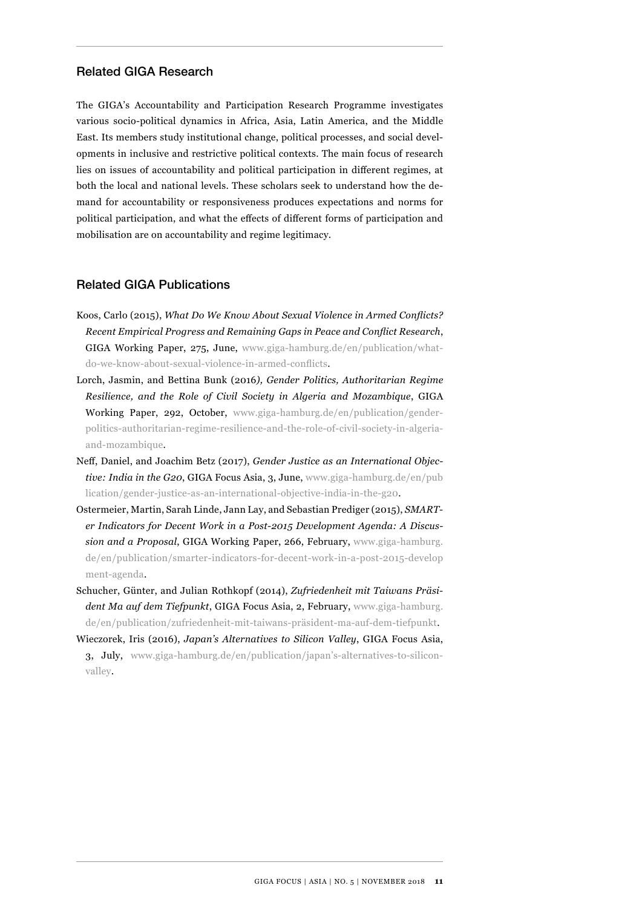# Related GIGA Research

The GIGA's Accountability and Participation Research Programme investigates various socio-political dynamics in Africa, Asia, Latin America, and the Middle East. Its members study institutional change, political processes, and social developments in inclusive and restrictive political contexts. The main focus of research lies on issues of accountability and political participation in different regimes, at both the local and national levels. These scholars seek to understand how the demand for accountability or responsiveness produces expectations and norms for political participation, and what the effects of different forms of participation and mobilisation are on accountability and regime legitimacy.

#### Related GIGA Publications

- Koos, Carlo (2015), *What Do We Know About Sexual Violence in Armed Conflicts? Recent Empirical Progress and Remaining Gaps in Peace and Conflict Research*, GIGA Working Paper, 275, June, [www.giga-hamburg.de/en/publication/what](http://www.giga-hamburg.de/en/publication/what-do-we-know-about-sexual-violence-in-armed-conflicts)[do-we-know-about-sexual-violence-in-armed-conflicts](http://www.giga-hamburg.de/en/publication/what-do-we-know-about-sexual-violence-in-armed-conflicts).
- Lorch, Jasmin, and Bettina Bunk (2016*), Gender Politics, Authoritarian Regime Resilience, and the Role of Civil Society in Algeria and Mozambique*, GIGA Working Paper, 292, October, [www.giga-hamburg.de/en/publication/gender](http://www.giga-hamburg.de/en/publication/gender-politics-authoritarian-regime-resilience-and-the-role-of-civil-society-in-algeria-and-mozambique)[politics-authoritarian-regime-resilience-and-the-role-of-civil-society-in-algeria](http://www.giga-hamburg.de/en/publication/gender-politics-authoritarian-regime-resilience-and-the-role-of-civil-society-in-algeria-and-mozambique)[and-mozambique](http://www.giga-hamburg.de/en/publication/gender-politics-authoritarian-regime-resilience-and-the-role-of-civil-society-in-algeria-and-mozambique).
- Neff, Daniel, and Joachim Betz (2017), *Gender Justice as an International Objective: India in the G20*, GIGA Focus Asia, 3, June, [www.giga-hamburg.de/en/pub](http://www.giga-hamburg.de/en/publication/gender-justice-as-an-international-objective-india-in-the-g20)  [lication/gender-justice-as-an-international-objective-india-in-the-g20.](http://www.giga-hamburg.de/en/publication/gender-justice-as-an-international-objective-india-in-the-g20)
- Ostermeier, Martin, Sarah Linde, Jann Lay, and Sebastian Prediger (2015), *SMARTer Indicators for Decent Work in a Post-2015 Development Agenda: A Discussion and a Proposal*, GIGA Working Paper, 266, February, [www.giga-hamburg.](http://www.giga-hamburg.de/en/publication/smarter-indicators-for-decent-work-in-a-post-2015-development-agenda) [de/en/publication/smarter-indicators-for-decent-work-in-a-post-2015-develop](http://www.giga-hamburg.de/en/publication/smarter-indicators-for-decent-work-in-a-post-2015-development-agenda) [ment-agenda.](http://www.giga-hamburg.de/en/publication/smarter-indicators-for-decent-work-in-a-post-2015-development-agenda)
- Schucher, Günter, and Julian Rothkopf (2014), *Zufriedenheit mit Taiwans Präsident Ma auf dem Tiefpunkt*, GIGA Focus Asia, 2, February, [www.giga-hamburg.](http://www.giga-hamburg.de/en/publication/zufriedenheit-mit-taiwans-pr�sident-ma-auf-dem-tiefpunkt) [de/en/publication/zufriedenheit-mit-taiwans-präsident-ma-auf-dem-tiefpunkt](http://www.giga-hamburg.de/en/publication/zufriedenheit-mit-taiwans-pr�sident-ma-auf-dem-tiefpunkt).
- Wieczorek, Iris (2016), *Japan's Alternatives to Silicon Valley*, GIGA Focus Asia, 3, July, [www.giga-hamburg.de/en/publication/japan's-alternatives-to-silicon](http://www.giga-hamburg.de/en/publication/japan�s-alternatives-to-silicon-valley)[valley](http://www.giga-hamburg.de/en/publication/japan�s-alternatives-to-silicon-valley).